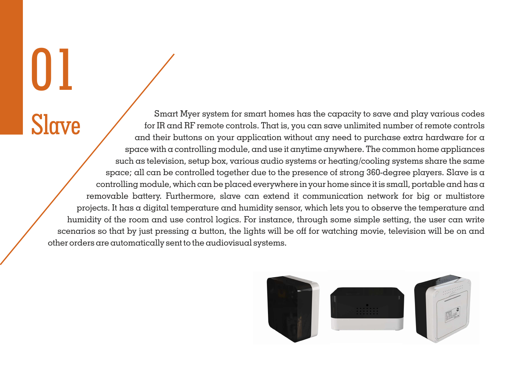Smart Myer system for smart homes has the capacity to save and play various codes for IR and RF remote controls. That is, you can save unlimited number of remote controls and their buttons on your application without any need to purchase extra hardware for a  $space$  with a controlling module, and use it anytime anywhere. The common home appliances such as television, setup box, various audio systems or heating/cooling systems share the same space; all can be controlled together due to the presence of strong 360-degree players. Slave is a controlling module, which can be placed everywhere in your home since it is small, portable and has a removable battery. Furthermore, slave can extend it communication network for big or multistore projects. It has a digital temperature and humidity sensor, which lets you to observe the temperature and humidity of the room and use control logics. For instance, through some simple setting, the user can write scenarios so that by just pressing a button, the lights will be off for watching movie, television will be on and other orders are automatically sent to the audiovisual systems.

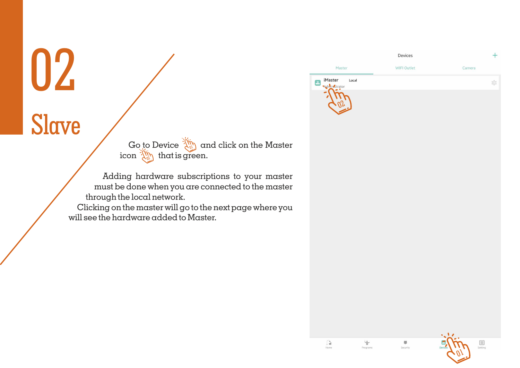|                                                   | <b>Devices</b>     |        |
|---------------------------------------------------|--------------------|--------|
| Master                                            | <b>WIFI Outlet</b> | Camera |
| iMaster<br>Local<br>$\triangleq$<br>Mdnin Strator |                    | æ      |
|                                                   |                    |        |

 $\fbox{and} \quad \begin{tabular}{c} \hline \begin{tabular}{c} \multicolumn{3}{c} \multicolumn{3}{c} \multicolumn{3}{c} \multicolumn{3}{c} \multicolumn{3}{c} \multicolumn{3}{c} \multicolumn{3}{c} \multicolumn{3}{c} \multicolumn{3}{c} \multicolumn{3}{c} \multicolumn{3}{c} \multicolumn{3}{c} \multicolumn{3}{c} \multicolumn{3}{c} \multicolumn{3}{c} \multicolumn{3}{c} \multicolumn{3}{c} \multicolumn{3}{c} \multicolumn{3}{c} \multicolumn{3}{c} \multicolumn{3}{c} \multicolumn{$ 

 $\frac{1}{2}$ 

Programs

 $\equiv$ 

Security

 $Q_{\mathcal{F}}$ 

 $\fbox{$\equiv$} \over \text{Setting}$ 

Slave

02

Go to Device  $\{\mathbb{S}^n\}$  and click on the Master icon  $\{\mathbb{Q}_2^m\}$  that is green.

Adding hardware subscriptions to your master must be done when you are connected to the master through the local network.

Clicking on the master will go to the next page where you will see the hardware added to Master.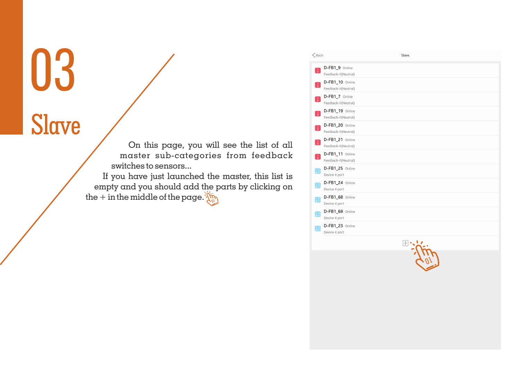On this page, you will see the list of all master sub-categories from feedback switches to sensors...

If you have just launched the master, this list is empty and you should add the parts by clicking on the + in the middle of the page.  $\frac{\partial f_{\hat{n}}}{\partial n}$ 

| $\leq$ Back                                                                                  | Slave                                   |
|----------------------------------------------------------------------------------------------|-----------------------------------------|
| $\begin{smallmatrix} 1 \ 1 \end{smallmatrix}$                                                | D-FB1_9 Online<br>Feedback-II(Neutral)  |
| T                                                                                            | D-FB1_10 Online<br>Feedback-II(Neutral) |
| Ŧ                                                                                            | D-FB1_7 Online<br>Feedback-II(Neutral)  |
| H                                                                                            | D-FB1_19 Online<br>Feedback-II(Neutral) |
| $\frac{1}{1}$                                                                                | D-FB1_20 Online<br>Feedback-II(Neutral) |
| 盂.                                                                                           | D-FB1_21 Online<br>Feedback-II(Neutral) |
| H                                                                                            | D-FB1_11 Online<br>Feedback-II(Neutral) |
| $\frac{1}{11}$ II                                                                            | D-FB1_25 Online<br>Device 4 port        |
| $\begin{array}{ c } \hline 1 & \mathrm{II} \\ \hline \mathrm{III} & \mathrm{IV} \end{array}$ | D-FB1_24 Online<br>Device 4 port        |
| $\begin{array}{ll} 1 & 1 \\ \hline \text{III IV} \end{array}$                                | D-FB1_68 Online<br>Device 4 port        |
| $\frac{1}{11}$                                                                               | D-FB1_69 Online<br>Device 4 port        |
| $\begin{array}{c} 1 \ \ \text{II} \\ \ \text{III} \ \ \text{IV} \end{array}$                 | D-FB1_23 Online<br>Device 4 port        |
|                                                                                              | $\sum_{i=1}^{n}$                        |
|                                                                                              |                                         |
|                                                                                              |                                         |
|                                                                                              |                                         |
|                                                                                              |                                         |
|                                                                                              |                                         |
|                                                                                              |                                         |
|                                                                                              |                                         |
|                                                                                              |                                         |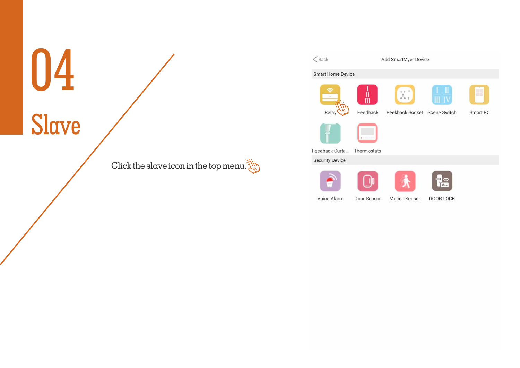Click the slave icon in the top menu. $\{^{\mathsf{in}}_{\scriptscriptstyle{\mathsf{Q}}}\}$ 

| $\leq$ Back              | Add SmartMyer Device |                                                    |                  |          |
|--------------------------|----------------------|----------------------------------------------------|------------------|----------|
| <b>Smart Home Device</b> |                      |                                                    |                  |          |
| Relay                    | ш<br>m<br>Feedback   | $\circ$<br>ţ<br>°≥<br>Feekback Socket Scene Switch |                  | Smart RC |
|                          | 1311111              |                                                    |                  |          |
| Feedback Curta           | Thermostats          |                                                    |                  |          |
| <b>Security Device</b>   |                      |                                                    |                  |          |
|                          |                      |                                                    |                  |          |
| Voice Alarm              | Door Sensor          | <b>Motion Sensor</b>                               | <b>DOOR LOCK</b> |          |